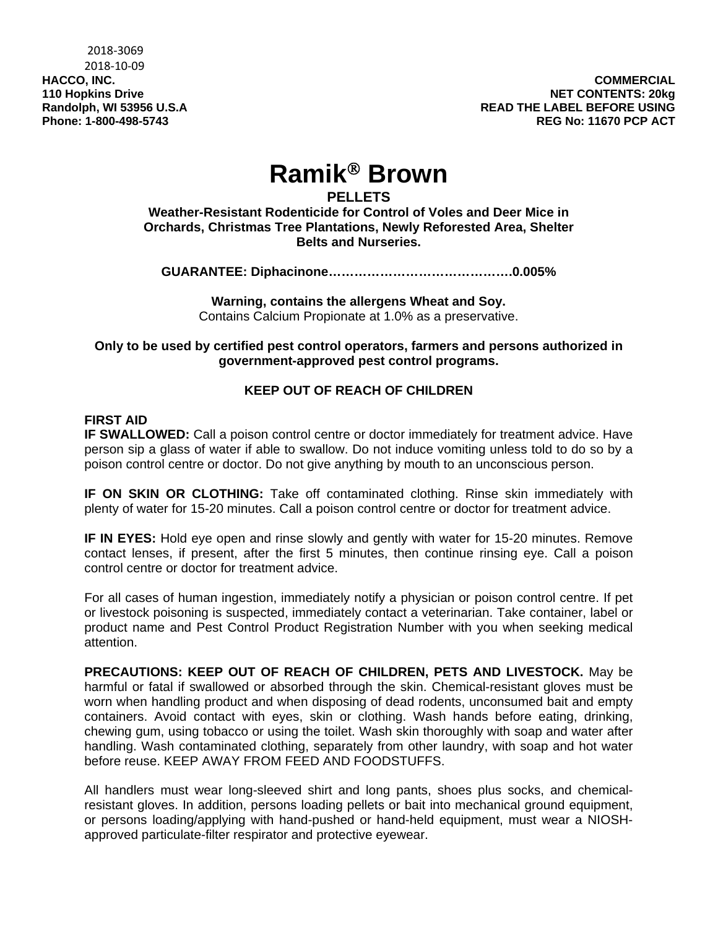# **Ramik Brown**

# **PELLETS**

**Weather-Resistant Rodenticide for Control of Voles and Deer Mice in Orchards, Christmas Tree Plantations, Newly Reforested Area, Shelter Belts and Nurseries.** 

**GUARANTEE: Diphacinone…………………………………….0.005%** 

**Warning, contains the allergens Wheat and Soy.**  Contains Calcium Propionate at 1.0% as a preservative.

**Only to be used by certified pest control operators, farmers and persons authorized in government-approved pest control programs.** 

# **KEEP OUT OF REACH OF CHILDREN**

## **FIRST AID**

**IF SWALLOWED:** Call a poison control centre or doctor immediately for treatment advice. Have person sip a glass of water if able to swallow. Do not induce vomiting unless told to do so by a poison control centre or doctor. Do not give anything by mouth to an unconscious person.

**IF ON SKIN OR CLOTHING:** Take off contaminated clothing. Rinse skin immediately with plenty of water for 15-20 minutes. Call a poison control centre or doctor for treatment advice.

**IF IN EYES:** Hold eye open and rinse slowly and gently with water for 15-20 minutes. Remove contact lenses, if present, after the first 5 minutes, then continue rinsing eye. Call a poison control centre or doctor for treatment advice.

For all cases of human ingestion, immediately notify a physician or poison control centre. If pet or livestock poisoning is suspected, immediately contact a veterinarian. Take container, label or product name and Pest Control Product Registration Number with you when seeking medical attention.

**PRECAUTIONS: KEEP OUT OF REACH OF CHILDREN, PETS AND LIVESTOCK.** May be harmful or fatal if swallowed or absorbed through the skin. Chemical-resistant gloves must be worn when handling product and when disposing of dead rodents, unconsumed bait and empty containers. Avoid contact with eyes, skin or clothing. Wash hands before eating, drinking, chewing gum, using tobacco or using the toilet. Wash skin thoroughly with soap and water after handling. Wash contaminated clothing, separately from other laundry, with soap and hot water before reuse. KEEP AWAY FROM FEED AND FOODSTUFFS.

All handlers must wear long-sleeved shirt and long pants, shoes plus socks, and chemicalresistant gloves. In addition, persons loading pellets or bait into mechanical ground equipment, or persons loading/applying with hand-pushed or hand-held equipment, must wear a NIOSHapproved particulate-filter respirator and protective eyewear.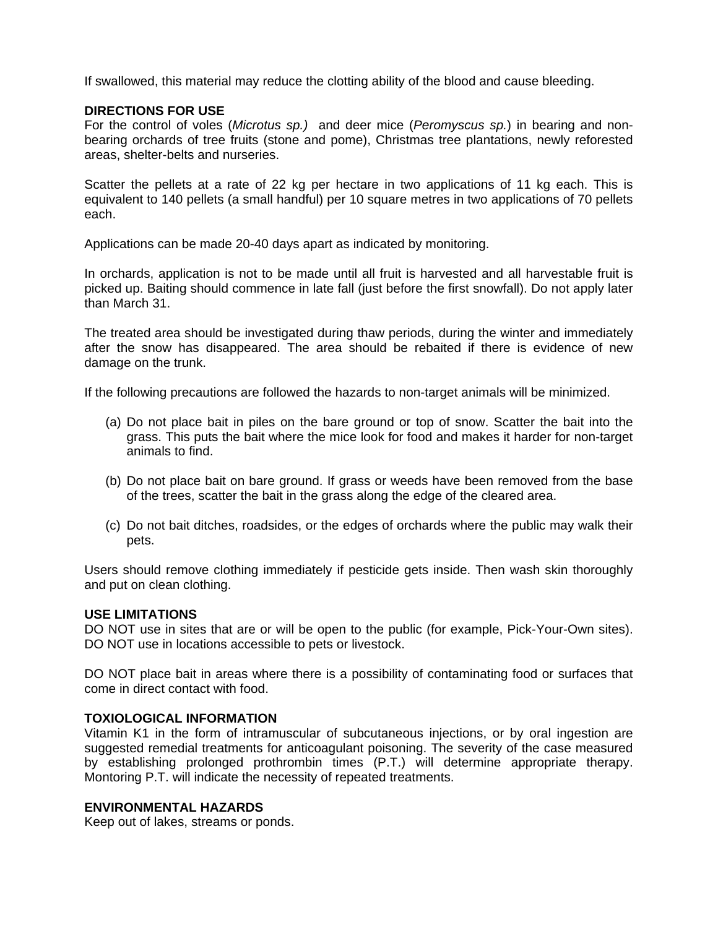If swallowed, this material may reduce the clotting ability of the blood and cause bleeding.

#### **DIRECTIONS FOR USE**

For the control of voles (*Microtus sp.)* and deer mice (*Peromyscus sp.*) in bearing and nonbearing orchards of tree fruits (stone and pome), Christmas tree plantations, newly reforested areas, shelter-belts and nurseries.

Scatter the pellets at a rate of 22 kg per hectare in two applications of 11 kg each. This is equivalent to 140 pellets (a small handful) per 10 square metres in two applications of 70 pellets each.

Applications can be made 20-40 days apart as indicated by monitoring.

In orchards, application is not to be made until all fruit is harvested and all harvestable fruit is picked up. Baiting should commence in late fall (just before the first snowfall). Do not apply later than March 31.

The treated area should be investigated during thaw periods, during the winter and immediately after the snow has disappeared. The area should be rebaited if there is evidence of new damage on the trunk.

If the following precautions are followed the hazards to non-target animals will be minimized.

- (a) Do not place bait in piles on the bare ground or top of snow. Scatter the bait into the grass. This puts the bait where the mice look for food and makes it harder for non-target animals to find.
- (b) Do not place bait on bare ground. If grass or weeds have been removed from the base of the trees, scatter the bait in the grass along the edge of the cleared area.
- (c) Do not bait ditches, roadsides, or the edges of orchards where the public may walk their pets.

Users should remove clothing immediately if pesticide gets inside. Then wash skin thoroughly and put on clean clothing.

## **USE LIMITATIONS**

DO NOT use in sites that are or will be open to the public (for example, Pick-Your-Own sites). DO NOT use in locations accessible to pets or livestock.

DO NOT place bait in areas where there is a possibility of contaminating food or surfaces that come in direct contact with food.

## **TOXIOLOGICAL INFORMATION**

Vitamin K1 in the form of intramuscular of subcutaneous injections, or by oral ingestion are suggested remedial treatments for anticoagulant poisoning. The severity of the case measured by establishing prolonged prothrombin times (P.T.) will determine appropriate therapy. Montoring P.T. will indicate the necessity of repeated treatments.

#### **ENVIRONMENTAL HAZARDS**

Keep out of lakes, streams or ponds.